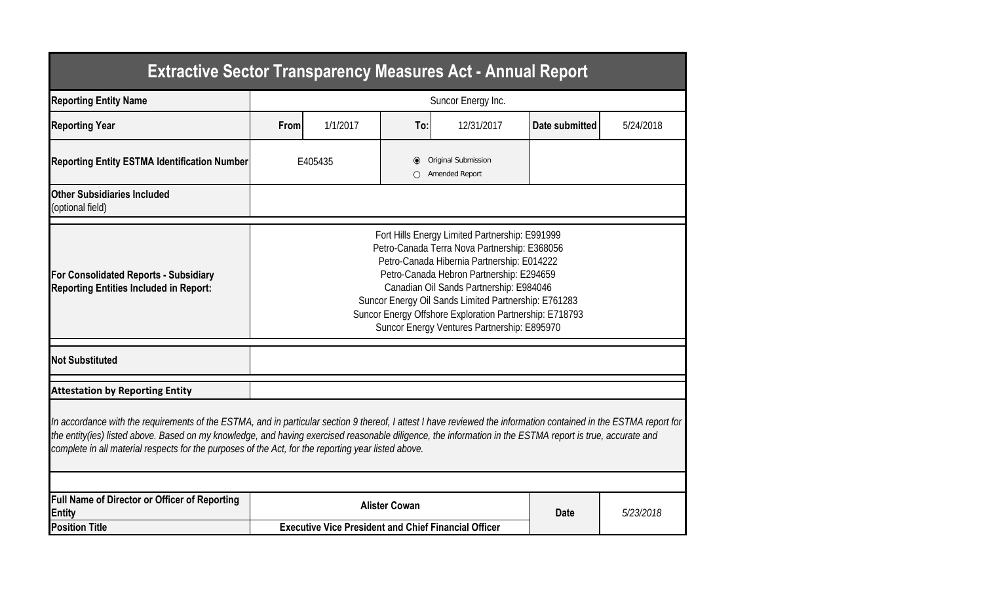| <b>Extractive Sector Transparency Measures Act - Annual Report</b>                                                                                                                                                                                                                                                                                                                                                                    |                                                                                                                                                                                                                                                                                                                                                                                                       |                                                             |  |  |  |  |  |  |  |  |
|---------------------------------------------------------------------------------------------------------------------------------------------------------------------------------------------------------------------------------------------------------------------------------------------------------------------------------------------------------------------------------------------------------------------------------------|-------------------------------------------------------------------------------------------------------------------------------------------------------------------------------------------------------------------------------------------------------------------------------------------------------------------------------------------------------------------------------------------------------|-------------------------------------------------------------|--|--|--|--|--|--|--|--|
| <b>Reporting Entity Name</b>                                                                                                                                                                                                                                                                                                                                                                                                          | Suncor Energy Inc.                                                                                                                                                                                                                                                                                                                                                                                    |                                                             |  |  |  |  |  |  |  |  |
| <b>Reporting Year</b>                                                                                                                                                                                                                                                                                                                                                                                                                 | 1/1/2017<br>12/31/2017<br>Date submitted<br>From<br>To:                                                                                                                                                                                                                                                                                                                                               |                                                             |  |  |  |  |  |  |  |  |
| <b>Reporting Entity ESTMA Identification Number</b>                                                                                                                                                                                                                                                                                                                                                                                   |                                                                                                                                                                                                                                                                                                                                                                                                       | Original Submission<br>E405435<br>O<br>Amended Report       |  |  |  |  |  |  |  |  |
| <b>Other Subsidiaries Included</b><br>(optional field)                                                                                                                                                                                                                                                                                                                                                                                |                                                                                                                                                                                                                                                                                                                                                                                                       |                                                             |  |  |  |  |  |  |  |  |
| <b>For Consolidated Reports - Subsidiary</b><br><b>Reporting Entities Included in Report:</b>                                                                                                                                                                                                                                                                                                                                         | Fort Hills Energy Limited Partnership: E991999<br>Petro-Canada Terra Nova Partnership: E368056<br>Petro-Canada Hibernia Partnership: E014222<br>Petro-Canada Hebron Partnership: E294659<br>Canadian Oil Sands Partnership: E984046<br>Suncor Energy Oil Sands Limited Partnership: E761283<br>Suncor Energy Offshore Exploration Partnership: E718793<br>Suncor Energy Ventures Partnership: E895970 |                                                             |  |  |  |  |  |  |  |  |
| <b>Not Substituted</b>                                                                                                                                                                                                                                                                                                                                                                                                                |                                                                                                                                                                                                                                                                                                                                                                                                       |                                                             |  |  |  |  |  |  |  |  |
| <b>Attestation by Reporting Entity</b>                                                                                                                                                                                                                                                                                                                                                                                                |                                                                                                                                                                                                                                                                                                                                                                                                       |                                                             |  |  |  |  |  |  |  |  |
| In accordance with the requirements of the ESTMA, and in particular section 9 thereof, I attest I have reviewed the information contained in the ESTMA report for<br>the entity(ies) listed above. Based on my knowledge, and having exercised reasonable diligence, the information in the ESTMA report is true, accurate and<br>complete in all material respects for the purposes of the Act, for the reporting year listed above. |                                                                                                                                                                                                                                                                                                                                                                                                       |                                                             |  |  |  |  |  |  |  |  |
| <b>Full Name of Director or Officer of Reporting</b><br><b>Entity</b>                                                                                                                                                                                                                                                                                                                                                                 | <b>Alister Cowan</b><br><b>Date</b><br>5/23/2018                                                                                                                                                                                                                                                                                                                                                      |                                                             |  |  |  |  |  |  |  |  |
| <b>Position Title</b>                                                                                                                                                                                                                                                                                                                                                                                                                 |                                                                                                                                                                                                                                                                                                                                                                                                       | <b>Executive Vice President and Chief Financial Officer</b> |  |  |  |  |  |  |  |  |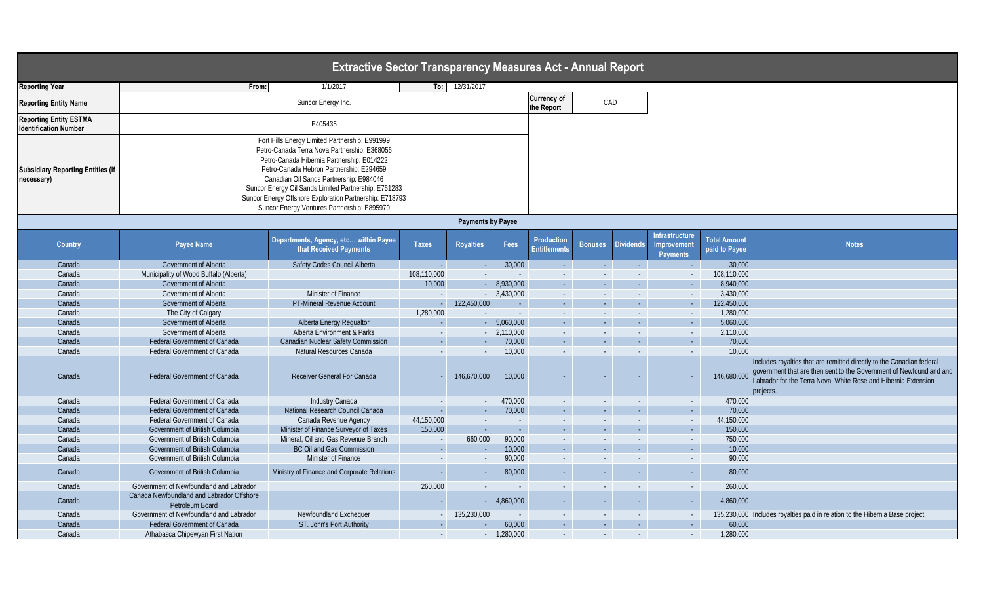| <b>Extractive Sector Transparency Measures Act - Annual Report</b> |                                                                                                                                                                                                                                                                                                                                                                                                       |                                                                 |              |                          |                                  |                                          |                  |                            |                                                         |                                      |                                                                                                                                                                                                                             |
|--------------------------------------------------------------------|-------------------------------------------------------------------------------------------------------------------------------------------------------------------------------------------------------------------------------------------------------------------------------------------------------------------------------------------------------------------------------------------------------|-----------------------------------------------------------------|--------------|--------------------------|----------------------------------|------------------------------------------|------------------|----------------------------|---------------------------------------------------------|--------------------------------------|-----------------------------------------------------------------------------------------------------------------------------------------------------------------------------------------------------------------------------|
| <b>Reporting Year</b>                                              | From:                                                                                                                                                                                                                                                                                                                                                                                                 | 1/1/2017                                                        | To:          | 12/31/2017               |                                  |                                          |                  |                            |                                                         |                                      |                                                                                                                                                                                                                             |
| <b>Reporting Entity Name</b>                                       |                                                                                                                                                                                                                                                                                                                                                                                                       |                                                                 |              |                          | <b>Currency of</b><br>the Report | CAD                                      |                  |                            |                                                         |                                      |                                                                                                                                                                                                                             |
| <b>Reporting Entity ESTMA</b><br><b>Identification Number</b>      |                                                                                                                                                                                                                                                                                                                                                                                                       | E405435                                                         |              |                          |                                  |                                          |                  |                            |                                                         |                                      |                                                                                                                                                                                                                             |
| <b>Subsidiary Reporting Entities (if</b><br>necessary)             | Fort Hills Energy Limited Partnership: E991999<br>Petro-Canada Terra Nova Partnership: E368056<br>Petro-Canada Hibernia Partnership: E014222<br>Petro-Canada Hebron Partnership: E294659<br>Canadian Oil Sands Partnership: E984046<br>Suncor Energy Oil Sands Limited Partnership: E761283<br>Suncor Energy Offshore Exploration Partnership: E718793<br>Suncor Energy Ventures Partnership: E895970 |                                                                 |              |                          |                                  |                                          |                  |                            |                                                         |                                      |                                                                                                                                                                                                                             |
|                                                                    |                                                                                                                                                                                                                                                                                                                                                                                                       |                                                                 |              | <b>Payments by Payee</b> |                                  |                                          |                  |                            |                                                         |                                      |                                                                                                                                                                                                                             |
| <b>Country</b>                                                     | <b>Payee Name</b>                                                                                                                                                                                                                                                                                                                                                                                     | Departments, Agency, etc within Payee<br>that Received Payments | <b>Taxes</b> | <b>Royalties</b>         | Fees                             | <b>Production</b><br><b>Entitlements</b> | <b>Bonuses</b>   | <b>Dividends</b>           | <b>Infrastructure</b><br>Improvement<br><b>Payments</b> | <b>Total Amount</b><br>paid to Payee | <b>Notes</b>                                                                                                                                                                                                                |
| Canada                                                             | <b>Government of Alberta</b>                                                                                                                                                                                                                                                                                                                                                                          | Safety Codes Council Alberta                                    |              | $\Delta \sim 10$         | 30,000                           | $\sim$ $-$                               | $\sim 100$       | $\sim$ $ \sim$             |                                                         | 30,000                               |                                                                                                                                                                                                                             |
| Canada                                                             | Municipality of Wood Buffalo (Alberta)                                                                                                                                                                                                                                                                                                                                                                |                                                                 | 108,110,000  |                          | $\sim$                           | $\sim$ $-$                               |                  | $\sim$ .                   |                                                         | 108,110,000                          |                                                                                                                                                                                                                             |
| Canada                                                             | Government of Alberta                                                                                                                                                                                                                                                                                                                                                                                 |                                                                 | 10,000       |                          | $-8,930,000$                     | $\sim 100$                               | $\sim 10$        | $\mathcal{L}_{\text{max}}$ | $\sim$ $ \sim$                                          | 8,940,000                            |                                                                                                                                                                                                                             |
| Canada                                                             | <b>Government of Alberta</b>                                                                                                                                                                                                                                                                                                                                                                          | <b>Minister of Finance</b>                                      |              |                          | $-3,430,000$                     | $\sim 10$                                | $\sim$           | $\sim$ .                   | $\sim$                                                  | 3,430,000                            |                                                                                                                                                                                                                             |
| Canada                                                             | Government of Alberta                                                                                                                                                                                                                                                                                                                                                                                 | PT-Mineral Revenue Account                                      |              | 122,450,000              | $\sim 10$                        | $\sim 100$                               | $\sim 10$        | $\mathcal{L}_{\text{max}}$ | $\sim$ $ \sim$                                          | 122,450,000                          |                                                                                                                                                                                                                             |
| Canada                                                             | The City of Calgary                                                                                                                                                                                                                                                                                                                                                                                   |                                                                 | 1,280,000    |                          | $\sim$                           | $\sim$ $-$                               | $\sim$           | $\sim$ .                   | $\sim$                                                  | 1,280,000                            |                                                                                                                                                                                                                             |
| Canada                                                             | Government of Alberta                                                                                                                                                                                                                                                                                                                                                                                 | Alberta Energy Regualtor                                        |              |                          | $-$ 5,060,000                    | $\sim 10$                                | $\sim 10$        | $\sim$ $-$                 | $\sim 10$                                               | 5,060,000                            |                                                                                                                                                                                                                             |
| Canada                                                             | Government of Alberta                                                                                                                                                                                                                                                                                                                                                                                 | Alberta Environment & Parks                                     |              |                          | $-2,110,000$                     | $\sim 10$                                |                  | $\sim$                     | $\sim$                                                  | 2,110,000                            |                                                                                                                                                                                                                             |
| Canada                                                             | Federal Government of Canada                                                                                                                                                                                                                                                                                                                                                                          | <b>Canadian Nuclear Safety Commission</b>                       |              | $\sim$                   | 70,000                           | $\sim 100$                               | $\sim$ $-$       | $\sim$ $^{-1}$             | $\sim$                                                  | 70,000                               |                                                                                                                                                                                                                             |
| Canada                                                             | Federal Government of Canada                                                                                                                                                                                                                                                                                                                                                                          | Natural Resources Canada                                        |              | $\sim$                   | 10,000                           | $\sim$                                   | $\sim$ $-$       | $\sim$                     | $\sim$                                                  | 10,000                               |                                                                                                                                                                                                                             |
| Canada                                                             | <b>Federal Government of Canada</b>                                                                                                                                                                                                                                                                                                                                                                   | <b>Receiver General For Canada</b>                              |              | 146,670,000              | 10,000                           |                                          |                  |                            |                                                         | 146,680,000                          | Includes royalties that are remitted directly to the Canadian federal<br>government that are then sent to the Government of Newfoundland and<br>Labrador for the Terra Nova, White Rose and Hibernia Extension<br>projects. |
| Canada                                                             | <b>Federal Government of Canada</b>                                                                                                                                                                                                                                                                                                                                                                   | Industry Canada                                                 |              |                          | 470,000                          | $\sim$ $-$                               |                  |                            | $\sim$                                                  | 470,000                              |                                                                                                                                                                                                                             |
| Canada                                                             | <b>Federal Government of Canada</b>                                                                                                                                                                                                                                                                                                                                                                   | National Research Council Canada                                |              | $\sim$ $-$               | 70,000                           | $\sim 100$                               | $\sim 10$        | $\sim$ $-$                 | $\sim 100$                                              | 70,000                               |                                                                                                                                                                                                                             |
| Canada                                                             | <b>Federal Government of Canada</b>                                                                                                                                                                                                                                                                                                                                                                   | Canada Revenue Agency                                           | 44,150,000   |                          | $\sim$ $-$                       | $\sim$                                   |                  | $\sim$                     | $\sim$                                                  | 44,150,000                           |                                                                                                                                                                                                                             |
| Canada                                                             | Government of British Columbia                                                                                                                                                                                                                                                                                                                                                                        | Minister of Finance Surveyor of Taxes                           | 150,000      | $\sim 10^{-10}$          | $\sim 10^{-1}$                   | $\mathcal{L} = \{1,2,3\}$                | $\sim 100$       | $\sim 10^{-1}$             | $\sim 100$                                              | 150,000                              |                                                                                                                                                                                                                             |
| Canada                                                             | Government of British Columbia                                                                                                                                                                                                                                                                                                                                                                        | Mineral, Oil and Gas Revenue Branch                             |              | 660,000                  | 90,000                           | $\sim$ $-$                               | $\sim$ 100 $\pm$ | $\sim$                     | $\sim$                                                  | 750,000                              |                                                                                                                                                                                                                             |
| Canada                                                             | Government of British Columbia                                                                                                                                                                                                                                                                                                                                                                        | BC Oil and Gas Commission                                       | $\sim$       | $\sim$                   | 10,000                           | $\sim 100$                               | <b>Service</b>   | $\sim 10^{-1}$             | $\sim 100$                                              | 10,000                               |                                                                                                                                                                                                                             |
| Canada                                                             | Government of British Columbia                                                                                                                                                                                                                                                                                                                                                                        | Minister of Finance                                             |              |                          | 90,000                           | $\sim$ $-$                               |                  | $\sim$                     | $\sim$                                                  | 90,000                               |                                                                                                                                                                                                                             |
| Canada                                                             | Government of British Columbia                                                                                                                                                                                                                                                                                                                                                                        | Ministry of Finance and Corporate Relations                     |              |                          | 80,000                           | $\sim$                                   |                  |                            |                                                         | 80,000                               |                                                                                                                                                                                                                             |
| Canada                                                             | Government of Newfoundland and Labrador                                                                                                                                                                                                                                                                                                                                                               |                                                                 | 260,000      |                          |                                  | $\sim$                                   |                  | $\sim$                     |                                                         | 260,000                              |                                                                                                                                                                                                                             |
| Canada                                                             | Canada Newfoundland and Labrador Offshore<br>Petroleum Board                                                                                                                                                                                                                                                                                                                                          |                                                                 |              |                          | 4,860,000                        | $\sim$                                   |                  | $\sim$                     |                                                         | 4,860,000                            |                                                                                                                                                                                                                             |
| Canada                                                             | Government of Newfoundland and Labrador                                                                                                                                                                                                                                                                                                                                                               | Newfoundland Exchequer                                          |              | 135,230,000              | $\sim$ $-$                       | $\sim$ $-$                               | $\sim$           | $\sim$                     |                                                         |                                      | 135,230,000 Includes royalties paid in relation to the Hibernia Base project.                                                                                                                                               |
| Canada                                                             | <b>Federal Government of Canada</b>                                                                                                                                                                                                                                                                                                                                                                   | ST. John's Port Authority                                       | $\sim$       | $\sim 100$               | 60,000                           | $\sim 100$                               | $\sim 100$       | $\sim$                     | $\sim 10^{-1}$                                          | 60,000                               |                                                                                                                                                                                                                             |
| Canada                                                             | Athabasca Chipewyan First Nation                                                                                                                                                                                                                                                                                                                                                                      |                                                                 | $\sim$       |                          | $-1,280,000$                     | $\sim$ $-$                               | $\sim$           | $\sim$                     | $\sim$                                                  | 1,280,000                            |                                                                                                                                                                                                                             |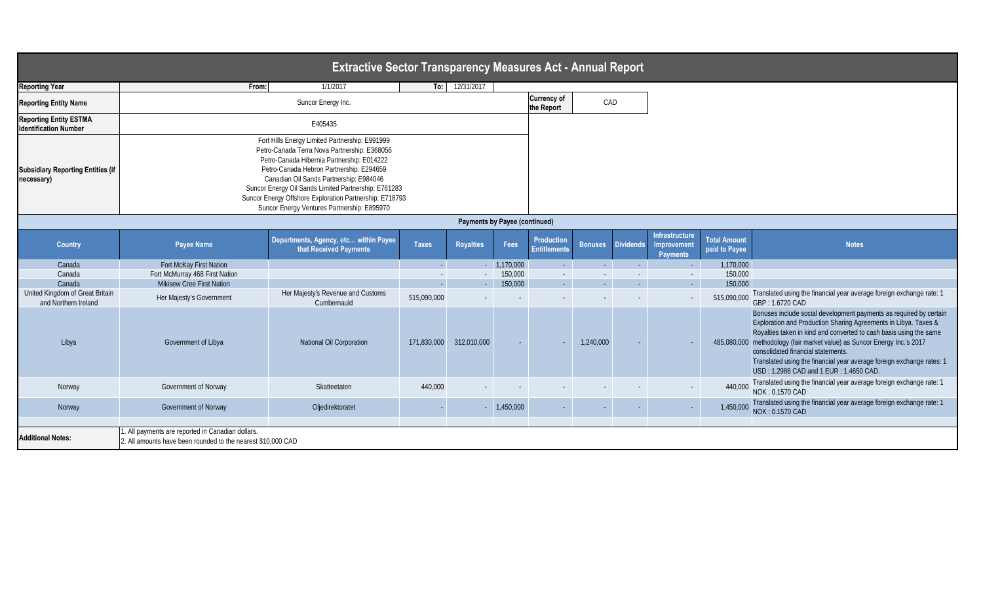| <b>Extractive Sector Transparency Measures Act - Annual Report</b> |                                                                                                                                                                                                                                                                                                                                                                                                       |                                                                 |              |                         |              |                                          |                |                  |                                                  |                                      |                                                                                                                                                                                                                                                                                                                                                                                                                                                  |
|--------------------------------------------------------------------|-------------------------------------------------------------------------------------------------------------------------------------------------------------------------------------------------------------------------------------------------------------------------------------------------------------------------------------------------------------------------------------------------------|-----------------------------------------------------------------|--------------|-------------------------|--------------|------------------------------------------|----------------|------------------|--------------------------------------------------|--------------------------------------|--------------------------------------------------------------------------------------------------------------------------------------------------------------------------------------------------------------------------------------------------------------------------------------------------------------------------------------------------------------------------------------------------------------------------------------------------|
| <b>Reporting Year</b>                                              |                                                                                                                                                                                                                                                                                                                                                                                                       | From:<br>1/1/2017                                               |              | To: $12/31/2017$        |              |                                          |                |                  |                                                  |                                      |                                                                                                                                                                                                                                                                                                                                                                                                                                                  |
| <b>Reporting Entity Name</b>                                       |                                                                                                                                                                                                                                                                                                                                                                                                       | Suncor Energy Inc.                                              |              |                         |              |                                          |                | CAD              |                                                  |                                      |                                                                                                                                                                                                                                                                                                                                                                                                                                                  |
| <b>Reporting Entity ESTMA</b><br><b>Identification Number</b>      |                                                                                                                                                                                                                                                                                                                                                                                                       | E405435                                                         |              |                         |              |                                          |                |                  |                                                  |                                      |                                                                                                                                                                                                                                                                                                                                                                                                                                                  |
| <b>Subsidiary Reporting Entities (if</b><br>necessary)             | Fort Hills Energy Limited Partnership: E991999<br>Petro-Canada Terra Nova Partnership: E368056<br>Petro-Canada Hibernia Partnership: E014222<br>Petro-Canada Hebron Partnership: E294659<br>Canadian Oil Sands Partnership: E984046<br>Suncor Energy Oil Sands Limited Partnership: E761283<br>Suncor Energy Offshore Exploration Partnership: E718793<br>Suncor Energy Ventures Partnership: E895970 |                                                                 |              |                         |              |                                          |                |                  |                                                  |                                      |                                                                                                                                                                                                                                                                                                                                                                                                                                                  |
| <b>Payments by Payee (continued)</b>                               |                                                                                                                                                                                                                                                                                                                                                                                                       |                                                                 |              |                         |              |                                          |                |                  |                                                  |                                      |                                                                                                                                                                                                                                                                                                                                                                                                                                                  |
| <b>Country</b>                                                     | <b>Payee Name</b>                                                                                                                                                                                                                                                                                                                                                                                     | Departments, Agency, etc within Payee<br>that Received Payments | <b>Taxes</b> | <b>Royalties</b>        | Fees         | <b>Production</b><br><b>Entitlements</b> | <b>Bonuses</b> | <b>Dividends</b> | Infrastructure<br>Improvement<br><b>Payments</b> | <b>Total Amount</b><br>paid to Payee | <b>Notes</b>                                                                                                                                                                                                                                                                                                                                                                                                                                     |
| Canada                                                             | Fort McKay First Nation                                                                                                                                                                                                                                                                                                                                                                               |                                                                 |              |                         | $-1,170,000$ | $\sim$ $^{-1}$                           | $\sim 10$      | $\sim$           | $\sim$                                           | 1,170,000                            |                                                                                                                                                                                                                                                                                                                                                                                                                                                  |
| Canada                                                             | Fort McMurray 468 First Nation                                                                                                                                                                                                                                                                                                                                                                        |                                                                 |              |                         | 150,000      | $\sim$                                   |                | $\sim$ $-$       | $\sim$                                           | 150,000                              |                                                                                                                                                                                                                                                                                                                                                                                                                                                  |
| Canada                                                             | <b>Mikisew Cree First Nation</b>                                                                                                                                                                                                                                                                                                                                                                      |                                                                 |              | $\sim 100$              | 150,000      | $\sim 100$                               | $\sim 100$     | $\sim 10^{-1}$   | $\sim 100$                                       | 150,000                              |                                                                                                                                                                                                                                                                                                                                                                                                                                                  |
| United Kingdom of Great Britain<br>and Northern Ireland            | Her Majesty's Government                                                                                                                                                                                                                                                                                                                                                                              | Her Majesty's Revenue and Customs<br>Cumbernauld                | 515,090,000  |                         |              |                                          |                |                  |                                                  | 515,090,000                          | Translated using the financial year average foreign exchange rate: 1<br>GBP: 1.6720 CAD                                                                                                                                                                                                                                                                                                                                                          |
| Libya                                                              | Government of Libya                                                                                                                                                                                                                                                                                                                                                                                   | National Oil Corporation                                        |              | 171,830,000 312,010,000 |              |                                          | 1,240,000      |                  |                                                  |                                      | Bonuses include social development payments as required by certain<br>Exploration and Production Sharing Agreements in Libya. Taxes &<br>Royalties taken in kind and converted to cash basis using the same<br>485,080,000 methodology (fair market value) as Suncor Energy Inc.'s 2017<br>consolidated financial statements.<br>Translated using the financial year average foreign exchange rates: 1<br>USD: 1.2986 CAD and 1 EUR: 1.4650 CAD. |
| Norway                                                             | Government of Norway                                                                                                                                                                                                                                                                                                                                                                                  | Skatteetaten                                                    | 440,000      |                         |              |                                          |                |                  |                                                  | 440,000                              | Translated using the financial year average foreign exchange rate: 1<br>NOK: 0.1570 CAD                                                                                                                                                                                                                                                                                                                                                          |
| Norway                                                             | <b>Government of Norway</b>                                                                                                                                                                                                                                                                                                                                                                           | Oljedirektoratet                                                |              |                         | 1,450,000    |                                          |                |                  |                                                  | 1,450,000                            | Translated using the financial year average foreign exchange rate: 1<br>NOK: 0.1570 CAD                                                                                                                                                                                                                                                                                                                                                          |
| <b>Additional Notes:</b>                                           | 1. All payments are reported in Canadian dollars.<br>2. All amounts have been rounded to the nearest \$10,000 CAD                                                                                                                                                                                                                                                                                     |                                                                 |              |                         |              |                                          |                |                  |                                                  |                                      |                                                                                                                                                                                                                                                                                                                                                                                                                                                  |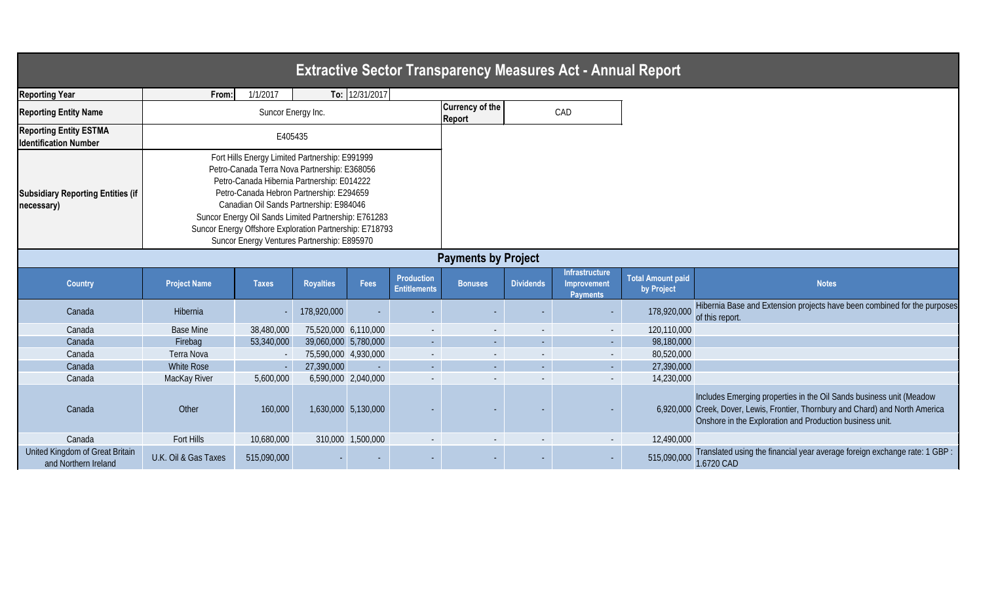Includes Emerging properties in the Oil Sands business unit (Meadow Creek, Dover, Lewis, Frontier, Thornbury and Chard) and North America Onshore in the Exploration and Production business unit.

anslated using the financial year average foreign exchange rate: 1 GBP : 120 CAD

|                                                               |                      |                                                                                                                                                                                                                                                                                                                                                                                                       |                      |                     |                                          |                                         |                  | <b>Extractive Sector Transparency Measures Act - Annual Report</b> |                                        |                                                                                                                                              |
|---------------------------------------------------------------|----------------------|-------------------------------------------------------------------------------------------------------------------------------------------------------------------------------------------------------------------------------------------------------------------------------------------------------------------------------------------------------------------------------------------------------|----------------------|---------------------|------------------------------------------|-----------------------------------------|------------------|--------------------------------------------------------------------|----------------------------------------|----------------------------------------------------------------------------------------------------------------------------------------------|
| <b>Reporting Year</b>                                         | From:                | 1/1/2017                                                                                                                                                                                                                                                                                                                                                                                              |                      | To: 12/31/2017      |                                          |                                         |                  |                                                                    |                                        |                                                                                                                                              |
| <b>Reporting Entity Name</b>                                  |                      | Suncor Energy Inc.                                                                                                                                                                                                                                                                                                                                                                                    |                      |                     |                                          | <b>Currency of the</b><br><b>Report</b> |                  | CAD                                                                |                                        |                                                                                                                                              |
| <b>Reporting Entity ESTMA</b><br><b>Identification Number</b> |                      | E405435                                                                                                                                                                                                                                                                                                                                                                                               |                      |                     |                                          |                                         |                  |                                                                    |                                        |                                                                                                                                              |
| <b>Subsidiary Reporting Entities (if</b><br>necessary)        |                      | Fort Hills Energy Limited Partnership: E991999<br>Petro-Canada Terra Nova Partnership: E368056<br>Petro-Canada Hibernia Partnership: E014222<br>Petro-Canada Hebron Partnership: E294659<br>Canadian Oil Sands Partnership: E984046<br>Suncor Energy Oil Sands Limited Partnership: E761283<br>Suncor Energy Offshore Exploration Partnership: E718793<br>Suncor Energy Ventures Partnership: E895970 |                      |                     |                                          |                                         |                  |                                                                    |                                        |                                                                                                                                              |
|                                                               |                      |                                                                                                                                                                                                                                                                                                                                                                                                       |                      |                     |                                          | <b>Payments by Project</b>              |                  |                                                                    |                                        |                                                                                                                                              |
| <b>Country</b>                                                | <b>Project Name</b>  | <b>Taxes</b>                                                                                                                                                                                                                                                                                                                                                                                          | <b>Royalties</b>     | <b>Fees</b>         | <b>Production</b><br><b>Entitlements</b> | <b>Bonuses</b>                          | <b>Dividends</b> | <b>Infrastructure</b><br><b>Improvement</b><br><b>Payments</b>     | <b>Total Amount paid</b><br>by Project | <b>Notes</b>                                                                                                                                 |
| Canada                                                        | Hibernia             |                                                                                                                                                                                                                                                                                                                                                                                                       | 178,920,000          |                     |                                          |                                         |                  | ٠                                                                  | 178,920,000                            | Hibernia Base and Extension projects ha<br>of this report.                                                                                   |
| Canada                                                        | <b>Base Mine</b>     | 38,480,000                                                                                                                                                                                                                                                                                                                                                                                            | 75,520,000 6,110,000 |                     | $\sim$                                   | $\overline{\phantom{a}}$                |                  | $\sim$                                                             | 120,110,000                            |                                                                                                                                              |
| Canada                                                        | Firebag              | 53,340,000                                                                                                                                                                                                                                                                                                                                                                                            | 39,060,000 5,780,000 |                     | $\sim$                                   | $\sim$                                  | $\sim$           | $\sim$                                                             | 98,180,000                             |                                                                                                                                              |
| Canada                                                        | Terra Nova           |                                                                                                                                                                                                                                                                                                                                                                                                       | 75,590,000 4,930,000 |                     | $\sim$                                   | $\overline{\phantom{a}}$                | $\sim$           | $\sim$                                                             | 80,520,000                             |                                                                                                                                              |
| Canada                                                        | <b>White Rose</b>    |                                                                                                                                                                                                                                                                                                                                                                                                       | 27,390,000           | $\Delta \sim 10$    | $\Delta \sim 10$                         | $\omega_{\rm{max}}$                     | $\sim$           | $\omega_{\rm{eff}}$                                                | 27,390,000                             |                                                                                                                                              |
| Canada                                                        | MacKay River         | 5,600,000                                                                                                                                                                                                                                                                                                                                                                                             |                      | 6,590,000 2,040,000 |                                          |                                         |                  | $\overline{\phantom{a}}$                                           | 14,230,000                             |                                                                                                                                              |
| Canada                                                        | Other                | 160,000                                                                                                                                                                                                                                                                                                                                                                                               |                      | 1,630,000 5,130,000 |                                          |                                         |                  |                                                                    |                                        | Includes Emerging properties in the Oil S<br>6,920,000 Creek, Dover, Lewis, Frontier, Thornbury<br>Onshore in the Exploration and Production |
| Canada                                                        | Fort Hills           | 10,680,000                                                                                                                                                                                                                                                                                                                                                                                            |                      | 310,000 1,500,000   |                                          | $\blacksquare$                          | $\sim$           | $\sim$                                                             | 12,490,000                             |                                                                                                                                              |
| United Kingdom of Great Britain<br>and Northern Ireland       | U.K. Oil & Gas Taxes | 515,090,000                                                                                                                                                                                                                                                                                                                                                                                           |                      |                     |                                          |                                         |                  | ٠                                                                  | 515,090,000                            | Translated using the financial year avera<br>1.6720 CAD                                                                                      |

pernia Base and Extension projects have been combined for the purposes this report.